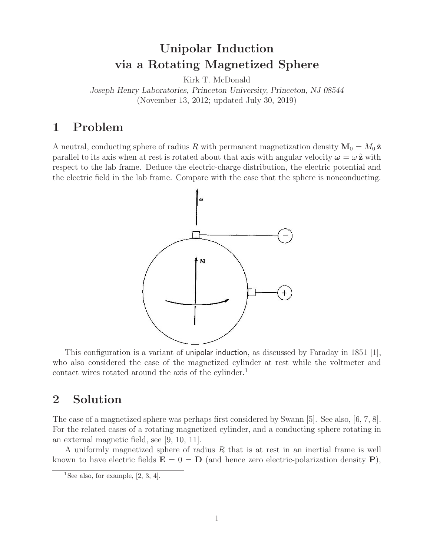# **Unipolar Induction via a Rotating Magnetized Sphere**

Kirk T. McDonald

*Joseph Henry Laboratories, Princeton University, Princeton, NJ 08544* (November 13, 2012; updated July 30, 2019)

### **1 Problem**

A neutral, conducting sphere of radius R with permanent magnetization density  $M_0 = M_0 \hat{z}$ parallel to its axis when at rest is rotated about that axis with angular velocity  $\omega = \omega \hat{z}$  with respect to the lab frame. Deduce the electric-charge distribution, the electric potential and the electric field in the lab frame. Compare with the case that the sphere is nonconducting.



This configuration is a variant of unipolar induction, as discussed by Faraday in 1851 [1], who also considered the case of the magnetized cylinder at rest while the voltmeter and contact wires rotated around the axis of the cylinder.<sup>1</sup>

### **2 Solution**

The case of a magnetized sphere was perhaps first considered by Swann [5]. See also, [6, 7, 8]. For the related cases of a rotating magnetized cylinder, and a conducting sphere rotating in an external magnetic field, see [9, 10, 11].

A uniformly magnetized sphere of radius R that is at rest in an inertial frame is well known to have electric fields  $\mathbf{E} = 0 = \mathbf{D}$  (and hence zero electric-polarization density **P**),

<sup>&</sup>lt;sup>1</sup>See also, for example,  $[2, 3, 4]$ .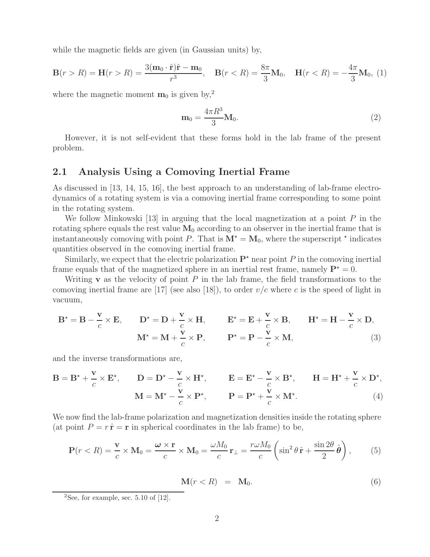while the magnetic fields are given (in Gaussian units) by,

$$
\mathbf{B}(r > R) = \mathbf{H}(r > R) = \frac{3(\mathbf{m}_0 \cdot \hat{\mathbf{r}})\hat{\mathbf{r}} - \mathbf{m}_0}{r^3}, \quad \mathbf{B}(r < R) = \frac{8\pi}{3}\mathbf{M}_0, \quad \mathbf{H}(r < R) = -\frac{4\pi}{3}\mathbf{M}_0, \tag{1}
$$

where the magnetic moment  $\mathbf{m}_0$  is given by,<sup>2</sup>

$$
\mathbf{m}_0 = \frac{4\pi R^3}{3} \mathbf{M}_0. \tag{2}
$$

However, it is not self-evident that these forms hold in the lab frame of the present problem.

#### **2.1 Analysis Using a Comoving Inertial Frame**

As discussed in [13, 14, 15, 16], the best approach to an understanding of lab-frame electrodynamics of a rotating system is via a comoving inertial frame corresponding to some point in the rotating system.

We follow Minkowski [13] in arguing that the local magnetization at a point  $P$  in the rotating sphere equals the rest value  $M_0$  according to an observer in the inertial frame that is instantaneously comoving with point P. That is  $M^* = M_0$ , where the superscript  $*$  indicates quantities observed in the comoving inertial frame.

Similarly, we expect that the electric polarization  $\mathbf{P}^{\star}$  near point P in the comoving inertial frame equals that of the magnetized sphere in an inertial rest frame, namely  $P^* = 0$ .

Writing **v** as the velocity of point  $P$  in the lab frame, the field transformations to the comoving inertial frame are [17] (see also [18]), to order  $v/c$  where c is the speed of light in vacuum,

$$
\mathbf{B}^* = \mathbf{B} - \frac{\mathbf{v}}{c} \times \mathbf{E}, \qquad \mathbf{D}^* = \mathbf{D} + \frac{\mathbf{v}}{c} \times \mathbf{H}, \qquad \mathbf{E}^* = \mathbf{E} + \frac{\mathbf{v}}{c} \times \mathbf{B}, \qquad \mathbf{H}^* = \mathbf{H} - \frac{\mathbf{v}}{c} \times \mathbf{D},
$$
  

$$
\mathbf{M}^* = \mathbf{M} + \frac{\mathbf{v}}{c} \times \mathbf{P}, \qquad \mathbf{P}^* = \mathbf{P} - \frac{\mathbf{v}}{c} \times \mathbf{M}, \tag{3}
$$

and the inverse transformations are,

$$
\mathbf{B} = \mathbf{B}^{\star} + \frac{\mathbf{v}}{c} \times \mathbf{E}^{\star}, \qquad \mathbf{D} = \mathbf{D}^{\star} - \frac{\mathbf{v}}{c} \times \mathbf{H}^{\star}, \qquad \mathbf{E} = \mathbf{E}^{\star} - \frac{\mathbf{v}}{c} \times \mathbf{B}^{\star}, \qquad \mathbf{H} = \mathbf{H}^{\star} + \frac{\mathbf{v}}{c} \times \mathbf{D}^{\star},
$$

$$
\mathbf{M} = \mathbf{M}^{\star} - \frac{\mathbf{v}}{c} \times \mathbf{P}^{\star}, \qquad \mathbf{P} = \mathbf{P}^{\star} + \frac{\mathbf{v}}{c} \times \mathbf{M}^{\star}.
$$
(4)

We now find the lab-frame polarization and magnetization densities inside the rotating sphere (at point  $P = r \hat{\bf r} = {\bf r}$  in spherical coordinates in the lab frame) to be,

$$
\mathbf{P}(r < R) = \frac{\mathbf{v}}{c} \times \mathbf{M}_0 = \frac{\boldsymbol{\omega} \times \mathbf{r}}{c} \times \mathbf{M}_0 = \frac{\omega M_0}{c} \mathbf{r}_{\perp} = \frac{r \omega M_0}{c} \left( \sin^2 \theta \, \hat{\mathbf{r}} + \frac{\sin 2\theta}{2} \, \hat{\boldsymbol{\theta}} \right),\tag{5}
$$

$$
\mathbf{M}(r < R) = \mathbf{M}_0. \tag{6}
$$

<sup>&</sup>lt;sup>2</sup>See, for example, sec. 5.10 of  $[12]$ .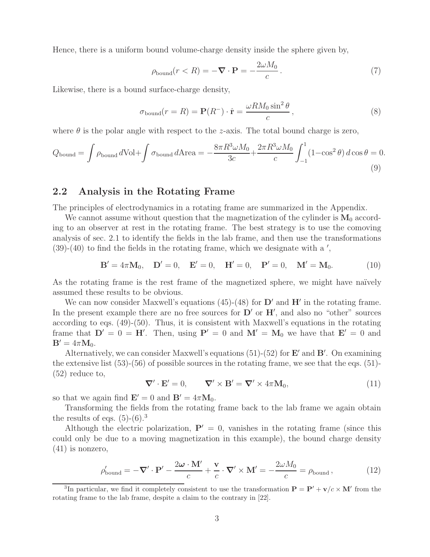Hence, there is a uniform bound volume-charge density inside the sphere given by,

$$
\rho_{\text{bound}}(r < R) = -\nabla \cdot \mathbf{P} = -\frac{2\omega M_0}{c} \,. \tag{7}
$$

Likewise, there is a bound surface-charge density,

$$
\sigma_{\text{bound}}(r=R) = \mathbf{P}(R^{-}) \cdot \hat{\mathbf{r}} = \frac{\omega R M_0 \sin^2 \theta}{c}, \qquad (8)
$$

where  $\theta$  is the polar angle with respect to the *z*-axis. The total bound charge is zero,

$$
Q_{\text{bound}} = \int \rho_{\text{bound}} d\text{Vol} + \int \sigma_{\text{bound}} d\text{Area} = -\frac{8\pi R^3 \omega M_0}{3c} + \frac{2\pi R^3 \omega M_0}{c} \int_{-1}^1 (1 - \cos^2 \theta) d\cos \theta = 0.
$$
\n(9)

#### **2.2 Analysis in the Rotating Frame**

The principles of electrodynamics in a rotating frame are summarized in the Appendix.

We cannot assume without question that the magnetization of the cylinder is  $M_0$  according to an observer at rest in the rotating frame. The best strategy is to use the comoving analysis of sec. 2.1 to identify the fields in the lab frame, and then use the transformations  $(39)-(40)$  to find the fields in the rotating frame, which we designate with a ',

$$
\mathbf{B}' = 4\pi \mathbf{M}_0, \quad \mathbf{D}' = 0, \quad \mathbf{E}' = 0, \quad \mathbf{H}' = 0, \quad \mathbf{P}' = 0, \quad \mathbf{M}' = \mathbf{M}_0.
$$
 (10)

As the rotating frame is the rest frame of the magnetized sphere, we might have naïvely assumed these results to be obvious.

We can now consider Maxwell's equations  $(45)-(48)$  for  $D'$  and  $H'$  in the rotating frame. In the present example there are no free sources for  $D'$  or  $H'$ , and also no "other" sources according to eqs. (49)-(50). Thus, it is consistent with Maxwell's equations in the rotating frame that  $D' = 0 = H'$ . Then, using  $P' = 0$  and  $M' = M_0$  we have that  $E' = 0$  and  $\mathbf{B}' = 4\pi \mathbf{M}_0.$ 

Alternatively, we can consider Maxwell's equations (51)-(52) for **E'** and **B'**. On examining the extensive list  $(53)-(56)$  of possible sources in the rotating frame, we see that the eqs.  $(51)$ -(52) reduce to,

$$
\nabla' \cdot \mathbf{E}' = 0, \qquad \nabla' \times \mathbf{B}' = \nabla' \times 4\pi \mathbf{M}_0, \tag{11}
$$

so that we again find  $\mathbf{E}' = 0$  and  $\mathbf{B}' = 4\pi \mathbf{M}_0$ .

Transforming the fields from the rotating frame back to the lab frame we again obtain the results of eqs.  $(5)-(6)^3$ 

Although the electric polarization,  $P' = 0$ , vanishes in the rotating frame (since this could only be due to a moving magnetization in this example), the bound charge density (41) is nonzero,

$$
\rho'_{\text{bound}} = -\nabla' \cdot \mathbf{P}' - \frac{2\omega \cdot \mathbf{M}'}{c} + \frac{\mathbf{v}}{c} \cdot \nabla' \times \mathbf{M}' = -\frac{2\omega M_0}{c} = \rho_{\text{bound}}\,,\tag{12}
$$

<sup>3</sup>In particular, we find it completely consistent to use the transformation  $P = P' + v/c \times M'$  from the rotating frame to the lab frame, despite a claim to the contrary in [22].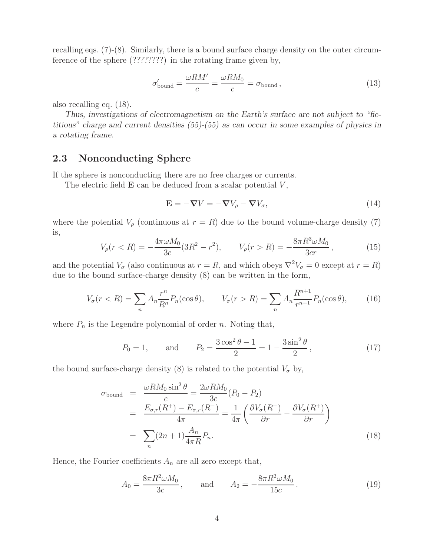recalling eqs. (7)-(8). Similarly, there is a bound surface charge density on the outer circumference of the sphere (????????) in the rotating frame given by,

$$
\sigma_{\text{bound}}' = \frac{\omega R M'}{c} = \frac{\omega R M_0}{c} = \sigma_{\text{bound}}\,,\tag{13}
$$

also recalling eq. (18).

*Thus, investigations of electromagnetism on the Earth's surface are not subject to "fictitious" charge and current densities (55)-(55) as can occur in some examples of physics in a rotating frame.*

#### **2.3 Nonconducting Sphere**

If the sphere is nonconducting there are no free charges or currents.

The electric field  $E$  can be deduced from a scalar potential  $V$ ,

$$
\mathbf{E} = -\nabla V = -\nabla V_{\rho} - \nabla V_{\sigma},\tag{14}
$$

where the potential  $V_\rho$  (continuous at  $r = R$ ) due to the bound volume-charge density (7) is,

$$
V_{\rho}(r < R) = -\frac{4\pi\omega M_0}{3c}(3R^2 - r^2), \qquad V_{\rho}(r > R) = -\frac{8\pi R^3 \omega M_0}{3cr}, \tag{15}
$$

and the potential  $V_{\sigma}$  (also continuous at  $r = R$ , and which obeys  $\nabla^2 V_{\sigma} = 0$  except at  $r = R$ ) due to the bound surface-charge density (8) can be written in the form,

$$
V_{\sigma}(r < R) = \sum_{n} A_{n} \frac{r^{n}}{R^{n}} P_{n}(\cos \theta), \qquad V_{\sigma}(r > R) = \sum_{n} A_{n} \frac{R^{n+1}}{r^{n+1}} P_{n}(\cos \theta), \qquad (16)
$$

where  $P_n$  is the Legendre polynomial of order n. Noting that,

$$
P_0 = 1,
$$
 and  $P_2 = \frac{3\cos^2\theta - 1}{2} = 1 - \frac{3\sin^2\theta}{2}$ , (17)

the bound surface-charge density (8) is related to the potential  $V_{\sigma}$  by,

$$
\sigma_{\text{bound}} = \frac{\omega R M_0 \sin^2 \theta}{c} = \frac{2\omega R M_0}{3c} (P_0 - P_2)
$$
  
= 
$$
\frac{E_{\sigma,r}(R^+) - E_{\sigma,r}(R^-)}{4\pi} = \frac{1}{4\pi} \left( \frac{\partial V_{\sigma}(R^-)}{\partial r} - \frac{\partial V_{\sigma}(R^+)}{\partial r} \right)
$$
  
= 
$$
\sum_n (2n+1) \frac{A_n}{4\pi R} P_n.
$$
 (18)

Hence, the Fourier coefficients  $A_n$  are all zero except that,

$$
A_0 = \frac{8\pi R^2 \omega M_0}{3c}, \quad \text{and} \quad A_2 = -\frac{8\pi R^2 \omega M_0}{15c}.
$$
 (19)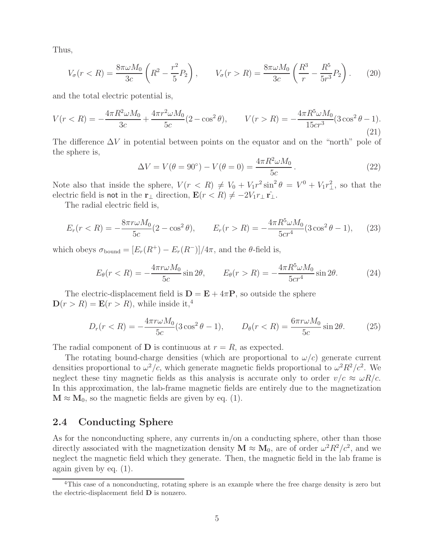Thus,

$$
V_{\sigma}(r < R) = \frac{8\pi\omega M_0}{3c} \left( R^2 - \frac{r^2}{5} P_2 \right), \qquad V_{\sigma}(r > R) = \frac{8\pi\omega M_0}{3c} \left( \frac{R^3}{r} - \frac{R^5}{5r^3} P_2 \right). \tag{20}
$$

and the total electric potential is,

$$
V(r < R) = -\frac{4\pi R^2 \omega M_0}{3c} + \frac{4\pi r^2 \omega M_0}{5c} (2 - \cos^2 \theta), \qquad V(r > R) = -\frac{4\pi R^5 \omega M_0}{15cr^3} (3\cos^2 \theta - 1).
$$
\n(21)

The difference  $\Delta V$  in potential between points on the equator and on the "north" pole of the sphere is,

$$
\Delta V = V(\theta = 90^{\circ}) - V(\theta = 0) = \frac{4\pi R^2 \omega M_0}{5c}.
$$
 (22)

Note also that inside the sphere,  $V(r < R) \neq V_0 + V_1 r^2 \sin^2 \theta = V^0 + V_1 r^2$ , so that the electric field is not in the **r**<sub>⊥</sub> direction,  $\mathbf{E}(r < R) \neq -2V_1r_{\perp} \hat{r_{\perp}}$ .

The radial electric field is,

$$
E_r(r < R) = -\frac{8\pi r \omega M_0}{5c} (2 - \cos^2 \theta), \qquad E_r(r > R) = -\frac{4\pi R^5 \omega M_0}{5cr^4} (3\cos^2 \theta - 1), \qquad (23)
$$

which obeys  $\sigma_{\text{bound}} = [E_r(R^+) - E_r(R^-)]/4\pi$ , and the  $\theta$ -field is,

$$
E_{\theta}(r < R) = -\frac{4\pi r \omega M_0}{5c} \sin 2\theta, \qquad E_{\theta}(r > R) = -\frac{4\pi R^5 \omega M_0}{5c^4} \sin 2\theta. \tag{24}
$$

The electric-displacement field is  $\mathbf{D} = \mathbf{E} + 4\pi \mathbf{P}$ , so outside the sphere  $\mathbf{D}(r>R) = \mathbf{E}(r>R)$ , while inside it,<sup>4</sup>

$$
D_r(r < R) = -\frac{4\pi r\omega M_0}{5c} (3\cos^2\theta - 1), \qquad D_\theta(r < R) = \frac{6\pi r\omega M_0}{5c} \sin 2\theta. \tag{25}
$$

The radial component of **D** is continuous at  $r = R$ , as expected.

The rotating bound-charge densities (which are proportional to  $\omega/c$ ) generate current densities proportional to  $\omega^2/c$ , which generate magnetic fields proportional to  $\omega^2 R^2/c^2$ . We neglect these tiny magnetic fields as this analysis is accurate only to order  $v/c \approx \omega R/c$ . In this approximation, the lab-frame magnetic fields are entirely due to the magnetization  $M \approx M_0$ , so the magnetic fields are given by eq. (1).

#### **2.4 Conducting Sphere**

As for the nonconducting sphere, any currents in/on a conducting sphere, other than those directly associated with the magnetization density  $\mathbf{M} \approx \mathbf{M}_0$ , are of order  $\omega^2 R^2/c^2$ , and we neglect the magnetic field which they generate. Then, the magnetic field in the lab frame is again given by eq. (1).

<sup>&</sup>lt;sup>4</sup>This case of a nonconducting, rotating sphere is an example where the free charge density is zero but the electric-displacement field **D** is nonzero.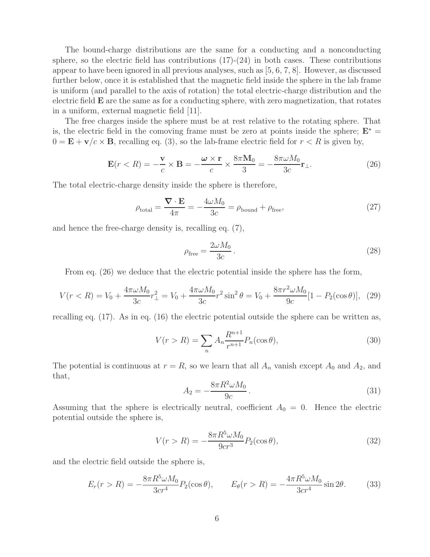The bound-charge distributions are the same for a conducting and a nonconducting sphere, so the electric field has contributions  $(17)-(24)$  in both cases. These contributions appear to have been ignored in all previous analyses, such as [5, 6, 7, 8]. However, as discussed further below, once it is established that the magnetic field inside the sphere in the lab frame is uniform (and parallel to the axis of rotation) the total electric-charge distribution and the electric field **E** are the same as for a conducting sphere, with zero magnetization, that rotates in a uniform, external magnetic field [11].

The free charges inside the sphere must be at rest relative to the rotating sphere. That is, the electric field in the comoving frame must be zero at points inside the sphere;  $E^*$  =  $0 = \mathbf{E} + \mathbf{v}/c \times \mathbf{B}$ , recalling eq. (3), so the lab-frame electric field for  $r < R$  is given by,

$$
\mathbf{E}(r < R) = -\frac{\mathbf{v}}{c} \times \mathbf{B} = -\frac{\boldsymbol{\omega} \times \mathbf{r}}{c} \times \frac{8\pi \mathbf{M}_0}{3} = -\frac{8\pi \omega M_0}{3c} \mathbf{r}_{\perp}.
$$
 (26)

The total electric-charge density inside the sphere is therefore,

$$
\rho_{\text{total}} = \frac{\nabla \cdot \mathbf{E}}{4\pi} = -\frac{4\omega M_0}{3c} = \rho_{\text{bound}} + \rho_{\text{free}},\tag{27}
$$

and hence the free-charge density is, recalling eq. (7),

$$
\rho_{\text{free}} = \frac{2\omega M_0}{3c} \,. \tag{28}
$$

From eq. (26) we deduce that the electric potential inside the sphere has the form,

$$
V(r < R) = V_0 + \frac{4\pi\omega M_0}{3c} r_{\perp}^2 = V_0 + \frac{4\pi\omega M_0}{3c} r^2 \sin^2 \theta = V_0 + \frac{8\pi r^2 \omega M_0}{9c} [1 - P_2(\cos \theta)], \tag{29}
$$

recalling eq. (17). As in eq. (16) the electric potential outside the sphere can be written as,

$$
V(r > R) = \sum_{n} A_n \frac{R^{n+1}}{r^{n+1}} P_n(\cos \theta),
$$
\n(30)

The potential is continuous at  $r = R$ , so we learn that all  $A_n$  vanish except  $A_0$  and  $A_2$ , and that,

$$
A_2 = -\frac{8\pi R^2 \omega M_0}{9c} \,. \tag{31}
$$

Assuming that the sphere is electrically neutral, coefficient  $A_0 = 0$ . Hence the electric potential outside the sphere is,

$$
V(r > R) = -\frac{8\pi R^5 \omega M_0}{9cr^3} P_2(\cos\theta),
$$
\n(32)

and the electric field outside the sphere is,

$$
E_r(r > R) = -\frac{8\pi R^5 \omega M_0}{3cr^4} P_2(\cos\theta), \qquad E_\theta(r > R) = -\frac{4\pi R^5 \omega M_0}{3cr^4} \sin 2\theta. \tag{33}
$$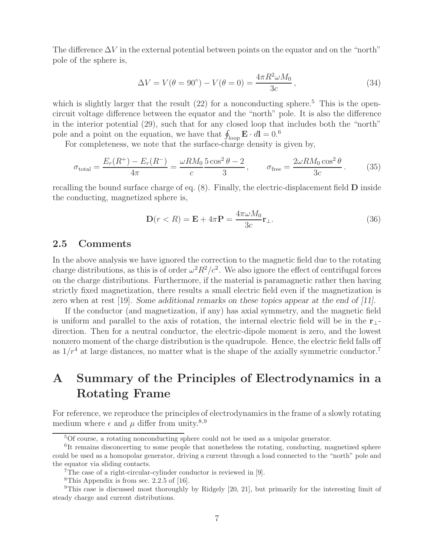The difference  $\Delta V$  in the external potential between points on the equator and on the "north" pole of the sphere is,

$$
\Delta V = V(\theta = 90^{\circ}) - V(\theta = 0) = \frac{4\pi R^2 \omega M_0}{3c},
$$
\n(34)

which is slightly larger that the result  $(22)$  for a nonconducting sphere.<sup>5</sup> This is the opencircuit voltage difference between the equator and the "north" pole. It is also the difference in the interior potential (29), such that for any closed loop that includes both the "north" pole and a point on the equation, we have that  $\oint_{\text{loop}} \mathbf{E} \cdot d\mathbf{l} = 0.6$ 

For completeness, we note that the surface-charge density is given by,

$$
\sigma_{\text{total}} = \frac{E_r(R^+) - E_r(R^-)}{4\pi} = \frac{\omega R M_0}{c} \frac{5 \cos^2 \theta - 2}{3}, \qquad \sigma_{\text{free}} = \frac{2\omega R M_0 \cos^2 \theta}{3c}.
$$
 (35)

recalling the bound surface charge of eq. (8). Finally, the electric-displacement field **D** inside the conducting, magnetized sphere is,

$$
\mathbf{D}(r < R) = \mathbf{E} + 4\pi \mathbf{P} = \frac{4\pi\omega M_0}{3c} \mathbf{r}_{\perp}.
$$
\n
$$
(36)
$$

#### **2.5 Comments**

In the above analysis we have ignored the correction to the magnetic field due to the rotating charge distributions, as this is of order  $\omega^2 R^2/c^2$ . We also ignore the effect of centrifugal forces on the charge distributions. Furthermore, if the material is paramagnetic rather then having strictly fixed magnetization, there results a small electric field even if the magnetization is zero when at rest [19]. *Some additional remarks on these topics appear at the end of [11].*

If the conductor (and magnetization, if any) has axial symmetry, and the magnetic field is uniform and parallel to the axis of rotation, the internal electric field will be in the **r**⊥ direction. Then for a neutral conductor, the electric-dipole moment is zero, and the lowest nonzero moment of the charge distribution is the quadrupole. Hence, the electric field falls off as  $1/r^4$  at large distances, no matter what is the shape of the axially symmetric conductor.<sup>7</sup>

# **A Summary of the Principles of Electrodynamics in a Rotating Frame**

For reference, we reproduce the principles of electrodynamics in the frame of a slowly rotating medium where  $\epsilon$  and  $\mu$  differ from unity.<sup>8,9</sup>

<sup>5</sup>Of course, a rotating nonconducting sphere could not be used as a unipolar generator.

<sup>&</sup>lt;sup>6</sup>It remains disconcerting to some people that nonetheless the rotating, conducting, magnetized sphere could be used as a homopolar generator, driving a current through a load connected to the "north" pole and the equator via sliding contacts.

<sup>7</sup>The case of a right-circular-cylinder conductor is reviewed in [9].

<sup>&</sup>lt;sup>8</sup>This Appendix is from sec. 2.2.5 of [16].

<sup>9</sup>This case is discussed most thoroughly by Ridgely [20, 21], but primarily for the interesting limit of steady charge and current distributions.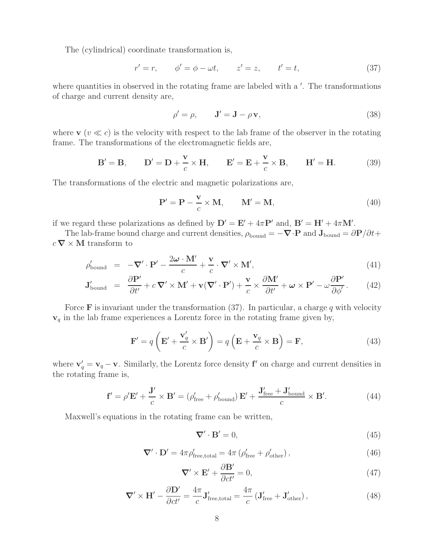The (cylindrical) coordinate transformation is,

$$
r' = r, \qquad \phi' = \phi - \omega t, \qquad z' = z, \qquad t' = t,
$$
\n
$$
(37)
$$

where quantities in observed in the rotating frame are labeled with a '. The transformations of charge and current density are,

$$
\rho' = \rho, \qquad \mathbf{J}' = \mathbf{J} - \rho \mathbf{v}, \tag{38}
$$

where  $\mathbf{v}$  ( $v \ll c$ ) is the velocity with respect to the lab frame of the observer in the rotating frame. The transformations of the electromagnetic fields are,

$$
\mathbf{B}' = \mathbf{B}, \qquad \mathbf{D}' = \mathbf{D} + \frac{\mathbf{v}}{c} \times \mathbf{H}, \qquad \mathbf{E}' = \mathbf{E} + \frac{\mathbf{v}}{c} \times \mathbf{B}, \qquad \mathbf{H}' = \mathbf{H}.
$$
 (39)

The transformations of the electric and magnetic polarizations are,

$$
\mathbf{P}' = \mathbf{P} - \frac{\mathbf{v}}{c} \times \mathbf{M}, \qquad \mathbf{M}' = \mathbf{M}, \tag{40}
$$

if we regard these polarizations as defined by  $\mathbf{D}' = \mathbf{E}' + 4\pi \mathbf{P}'$  and,  $\mathbf{B}' = \mathbf{H}' + 4\pi \mathbf{M}'$ .

The lab-frame bound charge and current densities,  $\rho_{\text{bound}} = -\nabla \cdot \mathbf{P}$  and  $\mathbf{J}_{\text{bound}} = \partial \mathbf{P}/\partial t +$  $c \nabla \times \mathbf{M}$  transform to

$$
\rho'_{\text{bound}} = -\nabla' \cdot \mathbf{P}' - \frac{2\omega \cdot \mathbf{M}'}{c} + \frac{\mathbf{v}}{c} \cdot \nabla' \times \mathbf{M}',\tag{41}
$$

$$
\mathbf{J}_{\text{bound}}' = \frac{\partial \mathbf{P}'}{\partial t'} + c \, \nabla' \times \mathbf{M}' + \mathbf{v} (\nabla' \cdot \mathbf{P}') + \frac{\mathbf{v}}{c} \times \frac{\partial \mathbf{M}'}{\partial t'} + \boldsymbol{\omega} \times \mathbf{P}' - \omega \frac{\partial \mathbf{P}'}{\partial \phi'}.
$$
(42)

Force **F** is invariant under the transformation  $(37)$ . In particular, a charge q with velocity **v**<sup>q</sup> in the lab frame experiences a Lorentz force in the rotating frame given by,

$$
\mathbf{F}' = q\left(\mathbf{E}' + \frac{\mathbf{v}'_q}{c} \times \mathbf{B}'\right) = q\left(\mathbf{E} + \frac{\mathbf{v}_q}{c} \times \mathbf{B}\right) = \mathbf{F},\tag{43}
$$

where  $\mathbf{v}'_q = \mathbf{v}_q - \mathbf{v}$ . Similarly, the Lorentz force density **f**' on charge and current densities in the rotating frame is,

$$
\mathbf{f}' = \rho' \mathbf{E}' + \frac{\mathbf{J}'}{c} \times \mathbf{B}' = (\rho'_{\text{free}} + \rho'_{\text{bound}}) \mathbf{E}' + \frac{\mathbf{J}'_{\text{free}} + \mathbf{J}'_{\text{bound}}}{c} \times \mathbf{B}'. \tag{44}
$$

Maxwell's equations in the rotating frame can be written,

$$
\nabla' \cdot \mathbf{B}' = 0,\tag{45}
$$

$$
\nabla' \cdot \mathbf{D}' = 4\pi \rho'_{\text{free,total}} = 4\pi \left( \rho'_{\text{free}} + \rho'_{\text{other}} \right),\tag{46}
$$

$$
\nabla' \times \mathbf{E}' + \frac{\partial \mathbf{B}'}{\partial ct'} = 0,\tag{47}
$$

$$
\nabla' \times \mathbf{H}' - \frac{\partial \mathbf{D}'}{\partial ct'} = \frac{4\pi}{c} \mathbf{J}'_{\text{free,total}} = \frac{4\pi}{c} \left( \mathbf{J}'_{\text{free}} + \mathbf{J}'_{\text{other}} \right),\tag{48}
$$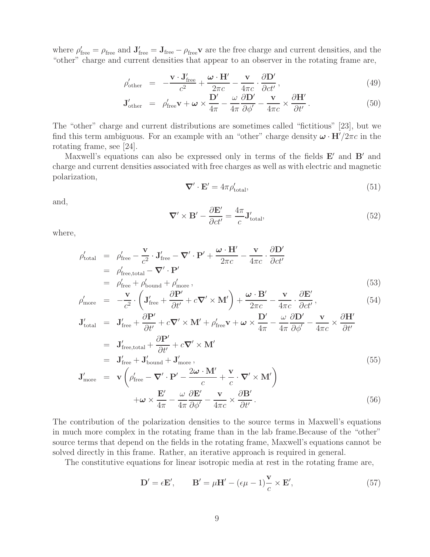where  $\rho'_{\text{free}} = \rho_{\text{free}}$  and  $\mathbf{J}'_{\text{free}} = \mathbf{J}_{\text{free}} - \rho_{\text{free}}\mathbf{v}$  are the free charge and current densities, and the "other" charge and current densities that appear to an observer in the rotating frame are,

$$
\rho'_{\text{other}} = -\frac{\mathbf{v} \cdot \mathbf{J}_{\text{free}}'}{c^2} + \frac{\boldsymbol{\omega} \cdot \mathbf{H}'}{2\pi c} - \frac{\mathbf{v}}{4\pi c} \cdot \frac{\partial \mathbf{D}'}{\partial ct'},
$$
\n(49)

$$
\mathbf{J}_{\text{other}}' = \rho_{\text{free}}' \mathbf{v} + \boldsymbol{\omega} \times \frac{\mathbf{D}'}{4\pi} - \frac{\omega}{4\pi} \frac{\partial \mathbf{D}'}{\partial \phi'} - \frac{\mathbf{v}}{4\pi c} \times \frac{\partial \mathbf{H}'}{\partial t'}.
$$
 (50)

The "other" charge and current distributions are sometimes called "fictitious" [23], but we find this term ambiguous. For an example with an "other" charge density  $\omega \cdot \mathbf{H}^{\prime}/2\pi c$  in the rotating frame, see [24].

Maxwell's equations can also be expressed only in terms of the fields  $E'$  and  $B'$  and charge and current densities associated with free charges as well as with electric and magnetic polarization,

$$
\nabla' \cdot \mathbf{E}' = 4\pi \rho'_{\text{total}},\tag{51}
$$

and,

$$
\nabla' \times \mathbf{B}' - \frac{\partial \mathbf{E}'}{\partial ct'} = \frac{4\pi}{c} \mathbf{J}'_{\text{total}},\tag{52}
$$

where,

$$
\rho'_{\text{total}} = \rho'_{\text{free}} - \frac{\mathbf{v}}{c^2} \cdot \mathbf{J}'_{\text{free}} - \nabla' \cdot \mathbf{P}' + \frac{\boldsymbol{\omega} \cdot \mathbf{H}'}{2\pi c} - \frac{\mathbf{v}}{4\pi c} \cdot \frac{\partial \mathbf{D}'}{\partial ct'}
$$
\n
$$
= \rho'_{\text{free,total}} - \nabla' \cdot \mathbf{P}'
$$
\n
$$
= \rho'_{\text{free}} + \rho'_{\text{bound}} + \rho'_{\text{more}},
$$
\n(53)

$$
\rho'_{\text{more}} = -\frac{\mathbf{v}}{c^2} \cdot \left( \mathbf{J}'_{\text{free}} + \frac{\partial \mathbf{P}'}{\partial t'} + c \nabla' \times \mathbf{M}' \right) + \frac{\boldsymbol{\omega} \cdot \mathbf{B}'}{2\pi c} - \frac{\mathbf{v}}{4\pi c} \cdot \frac{\partial \mathbf{E}'}{\partial ct'}, \tag{54}
$$

$$
\mathbf{J}_{\text{total}}' = \mathbf{J}_{\text{free}}' + \frac{\partial \mathbf{P}'}{\partial t'} + c \nabla' \times \mathbf{M}' + \rho_{\text{free}}' \mathbf{v} + \boldsymbol{\omega} \times \frac{\mathbf{D}'}{4\pi} - \frac{\omega}{4\pi} \frac{\partial \mathbf{D}'}{\partial \phi'} - \frac{\mathbf{v}}{4\pi c} \times \frac{\partial \mathbf{H}'}{\partial t'}
$$
\n
$$
= \mathbf{J}_{\text{free,total}}' + \frac{\partial \mathbf{P}'}{\partial t'} + c \nabla' \times \mathbf{M}'
$$
\n
$$
= \mathbf{J}_{\text{free}}' + \mathbf{J}_{\text{bound}}' + \mathbf{J}_{\text{more}}',
$$
\n
$$
\mathbf{J}_{\text{more}}' = \mathbf{v} \left( \rho_{\text{free}}' - \nabla' \cdot \mathbf{P}' - \frac{2\boldsymbol{\omega} \cdot \mathbf{M}'}{c} + \frac{\mathbf{v}}{c} \cdot \nabla' \times \mathbf{M}' \right)
$$
\n
$$
\mathbf{N}' = \mathbf{N}' \mathbf{N}'
$$
\n(55)

$$
+\boldsymbol{\omega}\times\frac{\mathbf{E}'}{4\pi}-\frac{\boldsymbol{\omega}}{4\pi}\frac{\partial\mathbf{E}'}{\partial\phi'}-\frac{\mathbf{v}}{4\pi c}\times\frac{\partial\mathbf{B}'}{\partial t'}.
$$
\n(56)

The contribution of the polarization densities to the source terms in Maxwell's equations in much more complex in the rotating frame than in the lab frame.Because of the "other" source terms that depend on the fields in the rotating frame, Maxwell's equations cannot be solved directly in this frame. Rather, an iterative approach is required in general.

The constitutive equations for linear isotropic media at rest in the rotating frame are,

$$
\mathbf{D}' = \epsilon \mathbf{E}', \qquad \mathbf{B}' = \mu \mathbf{H}' - (\epsilon \mu - 1) \frac{\mathbf{v}}{c} \times \mathbf{E}', \tag{57}
$$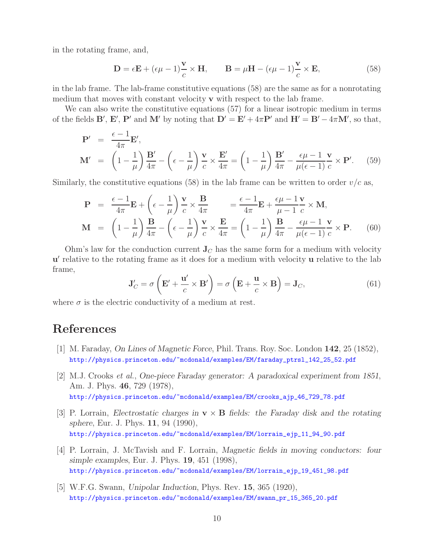in the rotating frame, and,

$$
\mathbf{D} = \epsilon \mathbf{E} + (\epsilon \mu - 1) \frac{\mathbf{v}}{c} \times \mathbf{H}, \qquad \mathbf{B} = \mu \mathbf{H} - (\epsilon \mu - 1) \frac{\mathbf{v}}{c} \times \mathbf{E}, \tag{58}
$$

in the lab frame. The lab-frame constitutive equations (58) are the same as for a nonrotating medium that moves with constant velocity **v** with respect to the lab frame.

We can also write the constitutive equations (57) for a linear isotropic medium in terms of the fields **B**', **E**', **P**' and **M**' by noting that  $D' = E' + 4\pi P'$  and  $H' = B' - 4\pi M'$ , so that,

$$
\mathbf{P}' = \frac{\epsilon - 1}{4\pi} \mathbf{E}',
$$
\n
$$
\mathbf{M}' = \left(1 - \frac{1}{\mu}\right) \frac{\mathbf{B}'}{4\pi} - \left(\epsilon - \frac{1}{\mu}\right) \frac{\mathbf{v}}{c} \times \frac{\mathbf{E}'}{4\pi} = \left(1 - \frac{1}{\mu}\right) \frac{\mathbf{B}'}{4\pi} - \frac{\epsilon \mu - 1}{\mu(\epsilon - 1)} \frac{\mathbf{v}}{c} \times \mathbf{P}'. \quad (59)
$$

Similarly, the constitutive equations (58) in the lab frame can be written to order  $v/c$  as,

$$
\mathbf{P} = \frac{\epsilon - 1}{4\pi} \mathbf{E} + \left(\epsilon - \frac{1}{\mu}\right) \frac{\mathbf{v}}{c} \times \frac{\mathbf{B}}{4\pi} = \frac{\epsilon - 1}{4\pi} \mathbf{E} + \frac{\epsilon \mu - 1}{\mu - 1} \frac{\mathbf{v}}{c} \times \mathbf{M},
$$
\n
$$
\mathbf{M} = \left(1 - \frac{1}{\mu}\right) \frac{\mathbf{B}}{4\pi} - \left(\epsilon - \frac{1}{\mu}\right) \frac{\mathbf{v}}{c} \times \frac{\mathbf{E}}{4\pi} = \left(1 - \frac{1}{\mu}\right) \frac{\mathbf{B}}{4\pi} - \frac{\epsilon \mu - 1}{\mu(\epsilon - 1)} \frac{\mathbf{v}}{c} \times \mathbf{P}.
$$
\n(60)

Ohm's law for the conduction current  $J_C$  has the same form for a medium with velocity **u** relative to the rotating frame as it does for a medium with velocity **u** relative to the lab frame,

$$
\mathbf{J}'_C = \sigma \left( \mathbf{E}' + \frac{\mathbf{u}'}{c} \times \mathbf{B}' \right) = \sigma \left( \mathbf{E} + \frac{\mathbf{u}}{c} \times \mathbf{B} \right) = \mathbf{J}_C,\tag{61}
$$

where  $\sigma$  is the electric conductivity of a medium at rest.

## **References**

- [1] M. Faraday, *On Lines of Magnetic Force*, Phil. Trans. Roy. Soc. London **142**, 25 (1852), http://physics.princeton.edu/~mcdonald/examples/EM/faraday\_ptrsl\_142\_25\_52.pdf
- [2] M.J. Crooks *et al.*, *One-piece Faraday generator: A paradoxical experiment from 1851*, Am. J. Phys. **46**, 729 (1978), http://physics.princeton.edu/~mcdonald/examples/EM/crooks\_ajp\_46\_729\_78.pdf
- [3] P. Lorrain, *Electrostatic charges in* **v** × **B** *fields: the Faraday disk and the rotating sphere*, Eur. J. Phys. **11**, 94 (1990), http://physics.princeton.edu/~mcdonald/examples/EM/lorrain\_ejp\_11\_94\_90.pdf
- [4] P. Lorrain, J. McTavish and F. Lorrain, *Magnetic fields in moving conductors: four simple examples*, Eur. J. Phys. **19**, 451 (1998), http://physics.princeton.edu/~mcdonald/examples/EM/lorrain\_ejp\_19\_451\_98.pdf
- [5] W.F.G. Swann, *Unipolar Induction*, Phys. Rev. **15**, 365 (1920), http://physics.princeton.edu/~mcdonald/examples/EM/swann\_pr\_15\_365\_20.pdf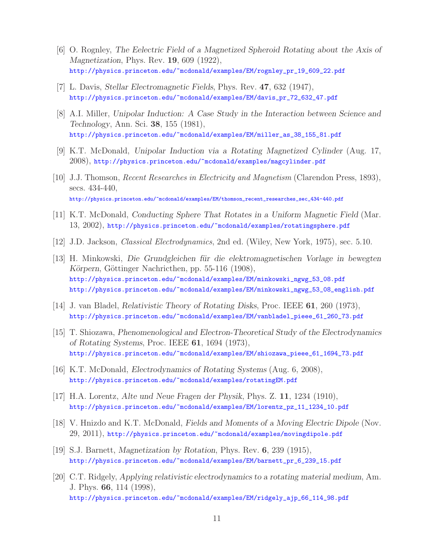- [6] O. Rognley, *The Eelectric Field of a Magnetized Spheroid Rotating about the Axis of Magnetization*, Phys. Rev. **19**, 609 (1922), http://physics.princeton.edu/~mcdonald/examples/EM/rognley\_pr\_19\_609\_22.pdf
- [7] L. Davis, *Stellar Electromagnetic Fields*, Phys. Rev. **47**, 632 (1947), http://physics.princeton.edu/~mcdonald/examples/EM/davis\_pr\_72\_632\_47.pdf
- [8] A.I. Miller, *Unipolar Induction: A Case Study in the Interaction between Science and Technology*, Ann. Sci. **38**, 155 (1981), http://physics.princeton.edu/~mcdonald/examples/EM/miller\_as\_38\_155\_81.pdf
- [9] K.T. McDonald, *Unipolar Induction via a Rotating Magnetized Cylinder* (Aug. 17, 2008), http://physics.princeton.edu/~mcdonald/examples/magcylinder.pdf
- [10] J.J. Thomson, *Recent Researches in Electricity and Magnetism* (Clarendon Press, 1893), secs. 434-440, http://physics.princeton.edu/~mcdonald/examples/EM/thomson\_recent\_researches\_sec\_434-440.pdf
- [11] K.T. McDonald, *Conducting Sphere That Rotates in a Uniform Magnetic Field* (Mar. 13, 2002), http://physics.princeton.edu/~mcdonald/examples/rotatingsphere.pdf
- [12] J.D. Jackson, *Classical Electrodynamics*, 2nd ed. (Wiley, New York, 1975), sec. 5.10.
- [13] H. Minkowski, *Die Grundgleichen f¨ur die elektromagnetischen Vorlage in bewegten Körpern*, Göttinger Nachricthen, pp. 55-116 (1908), http://physics.princeton.edu/~mcdonald/examples/EM/minkowski\_ngwg\_53\_08.pdf http://physics.princeton.edu/~mcdonald/examples/EM/minkowski\_ngwg\_53\_08\_english.pdf
- [14] J. van Bladel, *Relativistic Theory of Rotating Disks*, Proc. IEEE **61**, 260 (1973), http://physics.princeton.edu/~mcdonald/examples/EM/vanbladel\_pieee\_61\_260\_73.pdf
- [15] T. Shiozawa, *Phenomenological and Electron-Theoretical Study of the Electrodynamics of Rotating Systems*, Proc. IEEE **61**, 1694 (1973), http://physics.princeton.edu/~mcdonald/examples/EM/shiozawa\_pieee\_61\_1694\_73.pdf
- [16] K.T. McDonald, *Electrodynamics of Rotating Systems* (Aug. 6, 2008), http://physics.princeton.edu/~mcdonald/examples/rotatingEM.pdf
- [17] H.A. Lorentz, *Alte und Neue Fragen der Physik*, Phys. Z. **11**, 1234 (1910), http://physics.princeton.edu/~mcdonald/examples/EM/lorentz\_pz\_11\_1234\_10.pdf
- [18] V. Hnizdo and K.T. McDonald, *Fields and Moments of a Moving Electric Dipole* (Nov. 29, 2011), http://physics.princeton.edu/~mcdonald/examples/movingdipole.pdf
- [19] S.J. Barnett, *Magnetization by Rotation*, Phys. Rev. **6**, 239 (1915), http://physics.princeton.edu/~mcdonald/examples/EM/barnett\_pr\_6\_239\_15.pdf
- [20] C.T. Ridgely, *Applying relativistic electrodynamics to a rotating material medium*, Am. J. Phys. **66**, 114 (1998), http://physics.princeton.edu/~mcdonald/examples/EM/ridgely\_ajp\_66\_114\_98.pdf